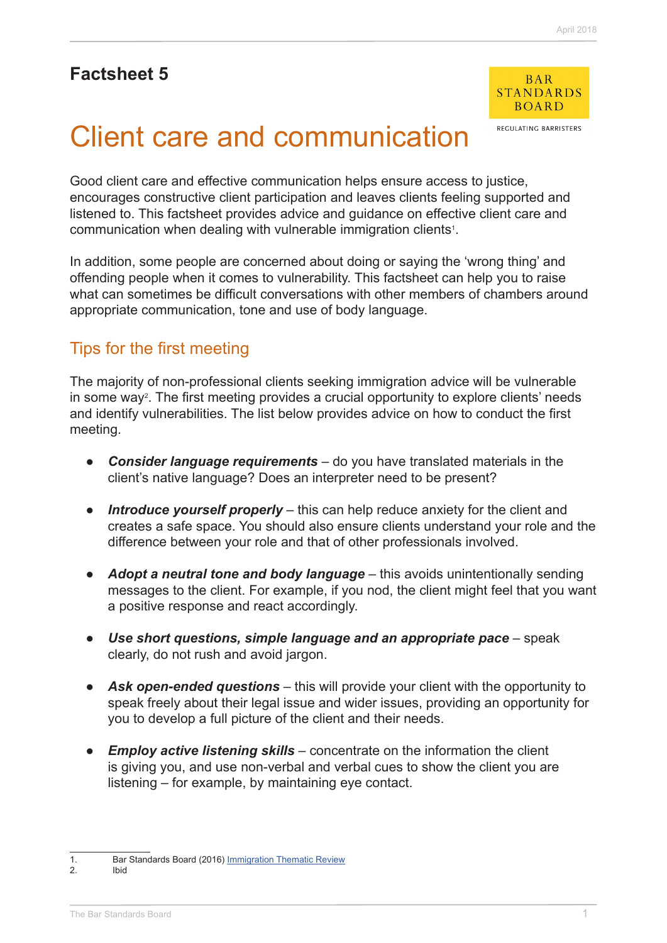## **Factsheet 5**



**RECHLATING RARRISTERS** 

# Client care and communication

Good client care and effective communication helps ensure access to justice, encourages constructive client participation and leaves clients feeling supported and listened to. This factsheet provides advice and guidance on effective client care and communication when dealing with vulnerable immigration clients<sup>1</sup>.

In addition, some people are concerned about doing or saying the 'wrong thing' and offending people when it comes to vulnerability. This factsheet can help you to raise what can sometimes be difficult conversations with other members of chambers around appropriate communication, tone and use of body language.

## Tips for the first meeting

The majority of non-professional clients seeking immigration advice will be vulnerable in some way<sup>2</sup>. The first meeting provides a crucial opportunity to explore clients' needs and identify vulnerabilities. The list below provides advice on how to conduct the first meeting.

- **●** *Consider language requirements*  do you have translated materials in the client's native language? Does an interpreter need to be present?
- **●** *Introduce yourself properly* this can help reduce anxiety for the client and creates a safe space. You should also ensure clients understand your role and the difference between your role and that of other professionals involved.
- **●** *Adopt a neutral tone and body language* this avoids unintentionally sending messages to the client. For example, if you nod, the client might feel that you want a positive response and react accordingly.
- **●** *Use short questions, simple language and an appropriate pace* speak clearly, do not rush and avoid jargon.
- Ask open-ended questions this will provide your client with the opportunity to speak freely about their legal issue and wider issues, providing an opportunity for you to develop a full picture of the client and their needs.
- **Employ active listening skills** concentrate on the information the client is giving you, and use non-verbal and verbal cues to show the client you are listening – for example, by maintaining eye contact.

<sup>1.</sup> Bar Standards Board (2016) [Immigration Thematic Review](https://www.barstandardsboard.org.uk/media/1760828/immigration_thematic_review_report_may_2016.pdf) 2. Ibid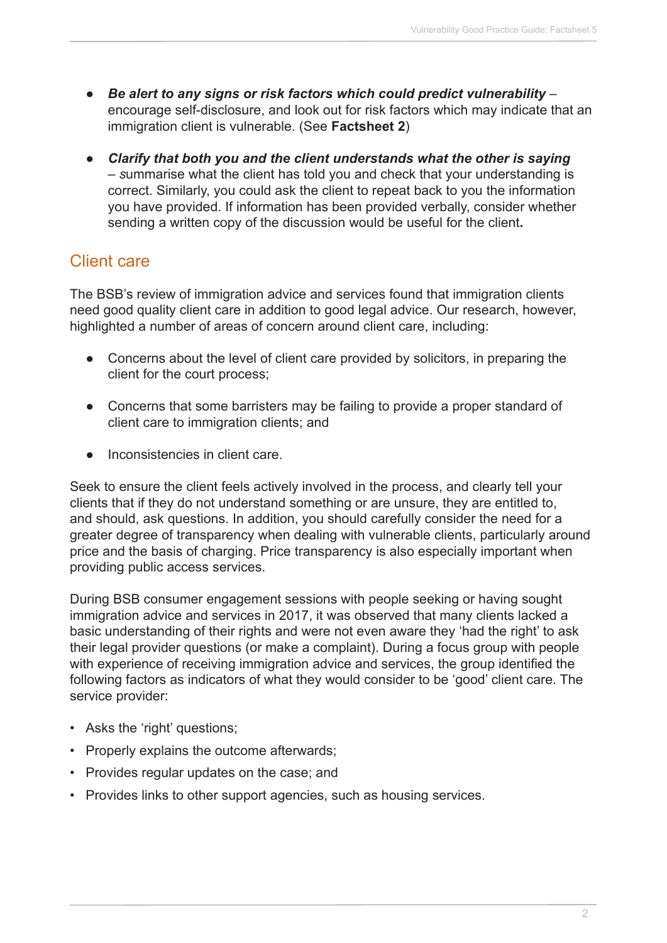- **●** *Be alert to any signs or risk factors which could predict vulnerability*  encourage self-disclosure, and look out for risk factors which may indicate that an immigration client is vulnerable. (See **Factsheet 2**)
- **●** *Clarify that both you and the client understands what the other is saying – s*ummarise what the client has told you and check that your understanding is correct. Similarly, you could ask the client to repeat back to you the information you have provided. If information has been provided verbally, consider whether sending a written copy of the discussion would be useful for the client**.**

## Client care

The BSB's review of immigration advice and services found that immigration clients need good quality client care in addition to good legal advice. Our research, however, highlighted a number of areas of concern around client care, including:

- **●** Concerns about the level of client care provided by solicitors, in preparing the client for the court process;
- **●** Concerns that some barristers may be failing to provide a proper standard of client care to immigration clients; and
- **●** Inconsistencies in client care.

Seek to ensure the client feels actively involved in the process, and clearly tell your clients that if they do not understand something or are unsure, they are entitled to, and should, ask questions. In addition, you should carefully consider the need for a greater degree of transparency when dealing with vulnerable clients, particularly around price and the basis of charging. Price transparency is also especially important when providing public access services.

During BSB consumer engagement sessions with people seeking or having sought immigration advice and services in 2017, it was observed that many clients lacked a basic understanding of their rights and were not even aware they 'had the right' to ask their legal provider questions (or make a complaint). During a focus group with people with experience of receiving immigration advice and services, the group identified the following factors as indicators of what they would consider to be 'good' client care. The service provider:

- Asks the 'right' questions;
- Properly explains the outcome afterwards;
- Provides regular updates on the case; and
- Provides links to other support agencies, such as housing services.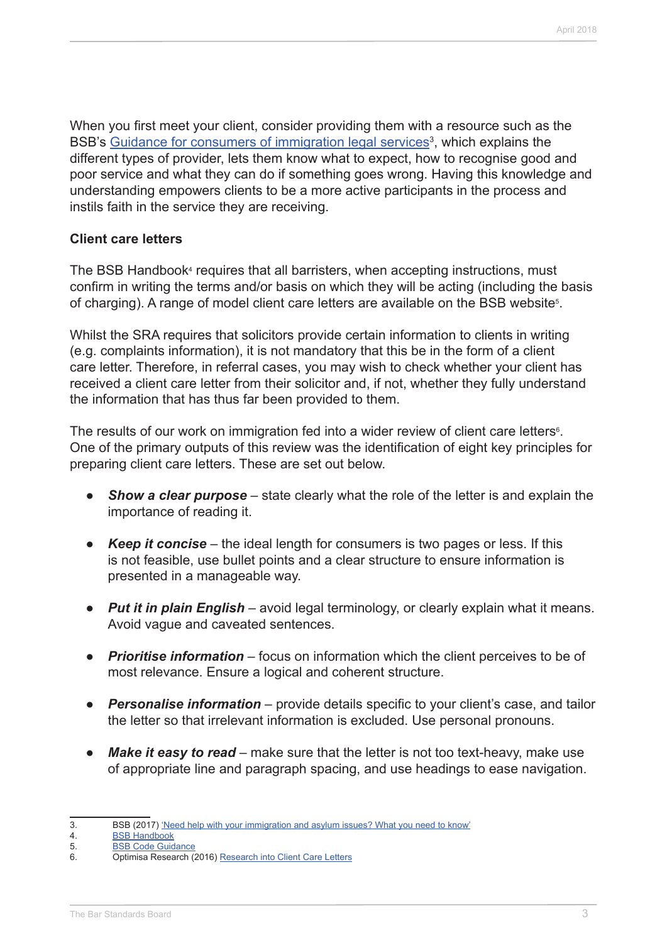When you first meet your client, consider providing them with a resource such as the BSB's Guidance for consumers of immigration legal services<sup>3</sup>, which explains the different types of provider, lets them know what to expect, how to recognise good and poor service and what they can do if something goes wrong. Having this knowledge and understanding empowers clients to be a more active participants in the process and instils faith in the service they are receiving.

#### **Client care letters**

The BSB Handbook<sup>4</sup> requires that all barristers, when accepting instructions, must confirm in writing the terms and/or basis on which they will be acting (including the basis of charging). A range of model client care letters are available on the BSB website<sup>5</sup>.

Whilst the SRA requires that solicitors provide certain information to clients in writing (e.g. complaints information), it is not mandatory that this be in the form of a client care letter. Therefore, in referral cases, you may wish to check whether your client has received a client care letter from their solicitor and, if not, whether they fully understand the information that has thus far been provided to them.

The results of our work on immigration fed into a wider review of client care letters $\epsilon$ . One of the primary outputs of this review was the identification of eight key principles for preparing client care letters. These are set out below.

- **●** *Show a clear purpose* state clearly what the role of the letter is and explain the importance of reading it.
- *Keep it concise* the ideal length for consumers is two pages or less. If this is not feasible, use bullet points and a clear structure to ensure information is presented in a manageable way.
- **●** *Put it in plain English* avoid legal terminology, or clearly explain what it means. Avoid vague and caveated sentences.
- **●** *Prioritise information* focus on information which the client perceives to be of most relevance. Ensure a logical and coherent structure.
- **Personalise information** provide details specific to your client's case, and tailor the letter so that irrelevant information is excluded. Use personal pronouns.
- **●** *Make it easy to read* make sure that the letter is not too text-heavy, make use of appropriate line and paragraph spacing, and use headings to ease navigation.

<sup>3.</sup> BSB (2017) ['Need help with your immigration and asylum issues? What you need to know'](https://www.barstandardsboard.org.uk/media/1837125/need_help_with_your_immigration_and_asylum_issues_-_for_web.pdf)

<sup>4.</sup> [BSB Handbook](https://www.barstandardsboard.org.uk/regulatory-requirements/bsb-handbook/the-handbook-publication/)<br>5. BSB Code Guid

**[BSB Code Guidance](http://www.barstandardsboard.org.uk/regulatory-requirements/bsb-handbook/code-guidance/)** 

<sup>6.</sup> Optimisa Research (2016) [Research into Client Care Letters](https://www.barstandardsboard.org.uk/media/1794566/client_care_letters_research_report_-_final_021116.pdf)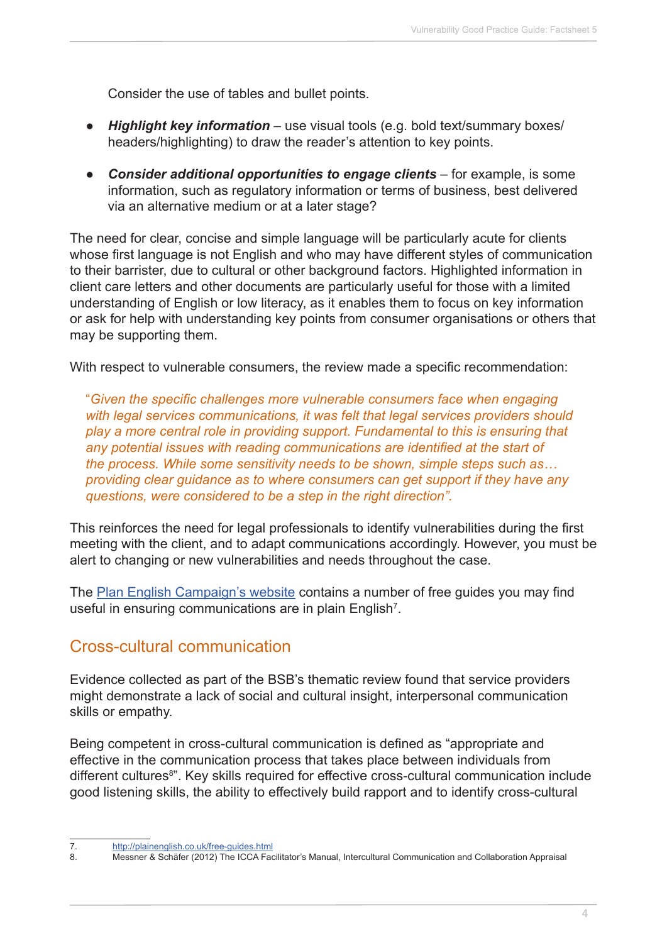Consider the use of tables and bullet points.

- *Highlight key information –* use visual tools (e.g. bold text/summary boxes/ headers/highlighting) to draw the reader's attention to key points.
- **●** *Consider additional opportunities to engage clients* for example, is some information, such as regulatory information or terms of business, best delivered via an alternative medium or at a later stage?

The need for clear, concise and simple language will be particularly acute for clients whose first language is not English and who may have different styles of communication to their barrister, due to cultural or other background factors. Highlighted information in client care letters and other documents are particularly useful for those with a limited understanding of English or low literacy, as it enables them to focus on key information or ask for help with understanding key points from consumer organisations or others that may be supporting them.

With respect to vulnerable consumers, the review made a specific recommendation:

"*Given the specific challenges more vulnerable consumers face when engaging with legal services communications, it was felt that legal services providers should play a more central role in providing support. Fundamental to this is ensuring that any potential issues with reading communications are identified at the start of the process. While some sensitivity needs to be shown, simple steps such as… providing clear guidance as to where consumers can get support if they have any questions, were considered to be a step in the right direction".*

This reinforces the need for legal professionals to identify vulnerabilities during the first meeting with the client, and to adapt communications accordingly. However, you must be alert to changing or new vulnerabilities and needs throughout the case.

The [Plan English Campaign's website](http://plainenglish.co.uk/free-guides.html) contains a number of free guides you may find useful in ensuring communications are in plain English<sup>7</sup>.

## Cross-cultural communication

Evidence collected as part of the BSB's thematic review found that service providers might demonstrate a lack of social and cultural insight, interpersonal communication skills or empathy.

Being competent in cross-cultural communication is defined as "appropriate and effective in the communication process that takes place between individuals from different cultures<sup>8</sup>". Key skills required for effective cross-cultural communication include good listening skills, the ability to effectively build rapport and to identify cross-cultural

<sup>7.</sup> <http://plainenglish.co.uk/free-guides.html>

<sup>8.</sup> Messner & Schäfer (2012) The ICCA Facilitator's Manual, Intercultural Communication and Collaboration Appraisal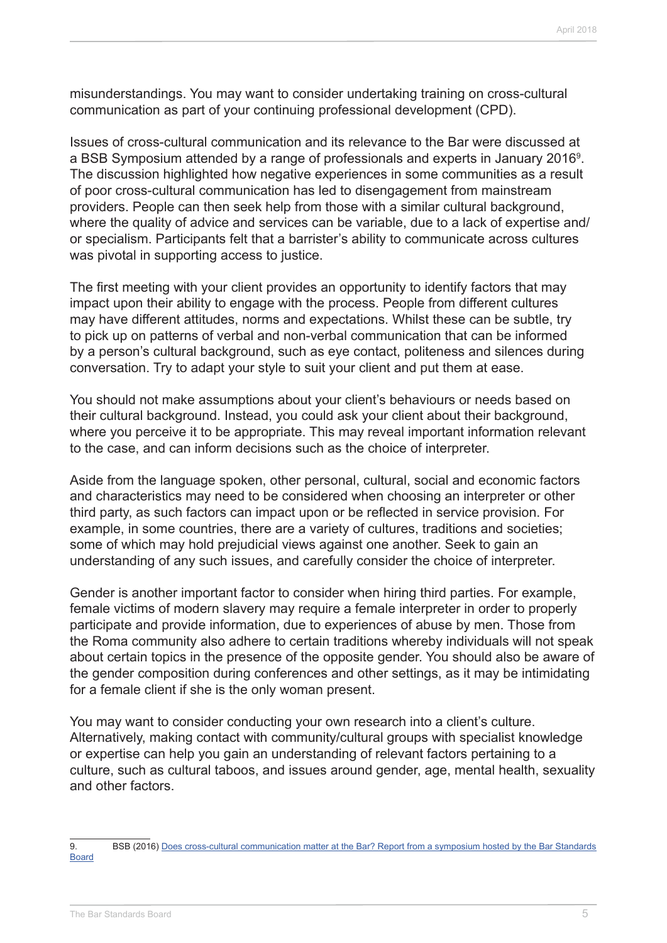misunderstandings. You may want to consider undertaking training on cross-cultural communication as part of your continuing professional development (CPD).

Issues of cross-cultural communication and its relevance to the Bar were discussed at a BSB Symposium attended by a range of professionals and experts in January 2016<sup>9</sup>. The discussion highlighted how negative experiences in some communities as a result of poor cross-cultural communication has led to disengagement from mainstream providers. People can then seek help from those with a similar cultural background, where the quality of advice and services can be variable, due to a lack of expertise and/ or specialism. Participants felt that a barrister's ability to communicate across cultures was pivotal in supporting access to justice.

The first meeting with your client provides an opportunity to identify factors that may impact upon their ability to engage with the process. People from different cultures may have different attitudes, norms and expectations. Whilst these can be subtle, try to pick up on patterns of verbal and non-verbal communication that can be informed by a person's cultural background, such as eye contact, politeness and silences during conversation. Try to adapt your style to suit your client and put them at ease.

You should not make assumptions about your client's behaviours or needs based on their cultural background. Instead, you could ask your client about their background, where you perceive it to be appropriate. This may reveal important information relevant to the case, and can inform decisions such as the choice of interpreter.

Aside from the language spoken, other personal, cultural, social and economic factors and characteristics may need to be considered when choosing an interpreter or other third party, as such factors can impact upon or be reflected in service provision. For example, in some countries, there are a variety of cultures, traditions and societies; some of which may hold prejudicial views against one another. Seek to gain an understanding of any such issues, and carefully consider the choice of interpreter.

Gender is another important factor to consider when hiring third parties. For example, female victims of modern slavery may require a female interpreter in order to properly participate and provide information, due to experiences of abuse by men. Those from the Roma community also adhere to certain traditions whereby individuals will not speak about certain topics in the presence of the opposite gender. You should also be aware of the gender composition during conferences and other settings, as it may be intimidating for a female client if she is the only woman present.

You may want to consider conducting your own research into a client's culture. Alternatively, making contact with community/cultural groups with specialist knowledge or expertise can help you gain an understanding of relevant factors pertaining to a culture, such as cultural taboos, and issues around gender, age, mental health, sexuality and other factors.

<sup>9.</sup> BSB (2016) Does cross-cultural communication matter at the Bar? Report from a symposium hosted by the Bar Standards [Board](https://www.barstandardsboard.org.uk/media/1750588/bsb_ccc_report_april_2016.pdf)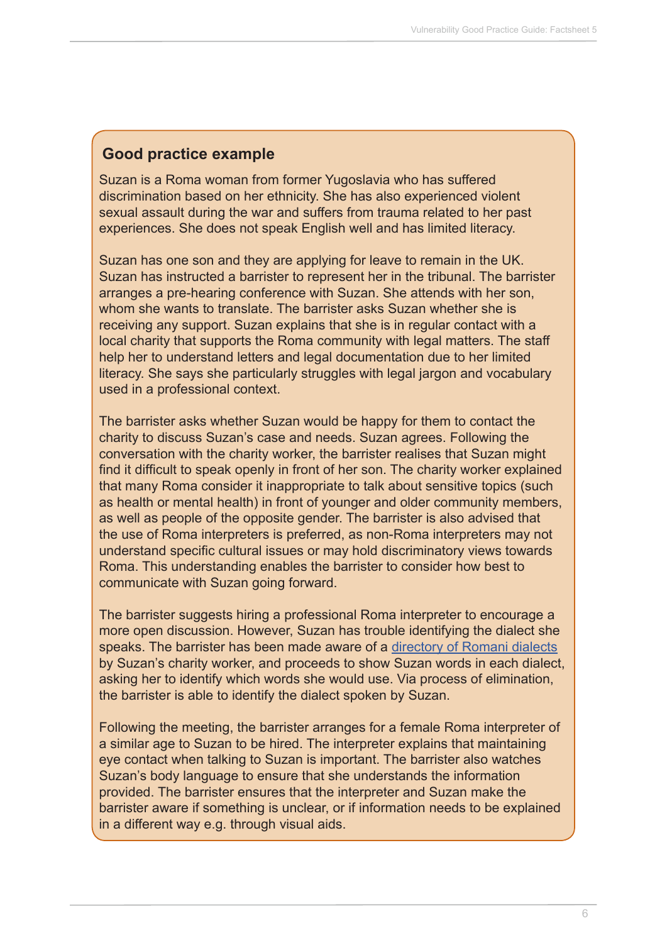### **Good practice example**

Suzan is a Roma woman from former Yugoslavia who has suffered discrimination based on her ethnicity. She has also experienced violent sexual assault during the war and suffers from trauma related to her past experiences. She does not speak English well and has limited literacy.

Suzan has one son and they are applying for leave to remain in the UK. Suzan has instructed a barrister to represent her in the tribunal. The barrister arranges a pre-hearing conference with Suzan. She attends with her son, whom she wants to translate. The barrister asks Suzan whether she is receiving any support. Suzan explains that she is in regular contact with a local charity that supports the Roma community with legal matters. The staff help her to understand letters and legal documentation due to her limited literacy. She says she particularly struggles with legal jargon and vocabulary used in a professional context.

The barrister asks whether Suzan would be happy for them to contact the charity to discuss Suzan's case and needs. Suzan agrees. Following the conversation with the charity worker, the barrister realises that Suzan might find it difficult to speak openly in front of her son. The charity worker explained that many Roma consider it inappropriate to talk about sensitive topics (such as health or mental health) in front of younger and older community members, as well as people of the opposite gender. The barrister is also advised that the use of Roma interpreters is preferred, as non-Roma interpreters may not understand specific cultural issues or may hold discriminatory views towards Roma. This understanding enables the barrister to consider how best to communicate with Suzan going forward.

The barrister suggests hiring a professional Roma interpreter to encourage a more open discussion. However, Suzan has trouble identifying the dialect she speaks. The barrister has been made aware of a [directory of Romani dialects](http://romani.humanities.manchester.ac.uk/) by Suzan's charity worker, and proceeds to show Suzan words in each dialect, asking her to identify which words she would use. Via process of elimination, the barrister is able to identify the dialect spoken by Suzan.

Following the meeting, the barrister arranges for a female Roma interpreter of a similar age to Suzan to be hired. The interpreter explains that maintaining eye contact when talking to Suzan is important. The barrister also watches Suzan's body language to ensure that she understands the information provided. The barrister ensures that the interpreter and Suzan make the barrister aware if something is unclear, or if information needs to be explained in a different way e.g. through visual aids.